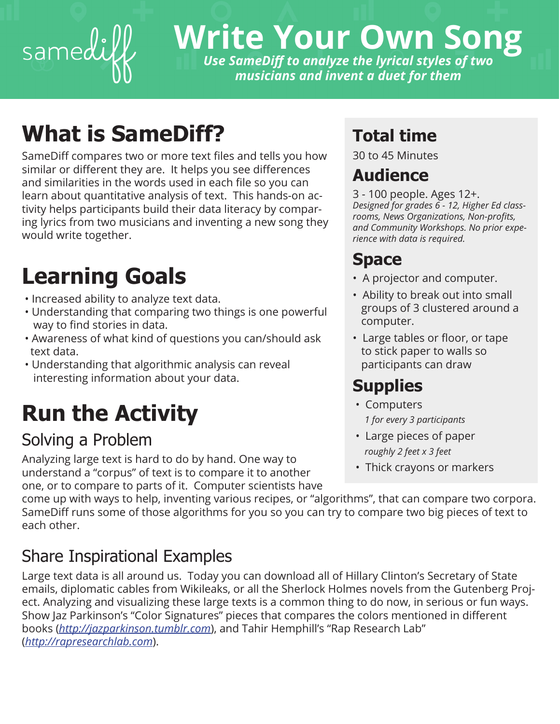

# **Write Your Own Song** *Use SameDif to analyze the lyrical styles of two*

*musicians and invent a duet for them*

## **What is SameDiff?**

SameDiff compares two or more text files and tells you how similar or diferent they are. It helps you see diferences and similarities in the words used in each fle so you can learn about quantitative analysis of text. This hands-on activity helps participants build their data literacy by comparing lyrics from two musicians and inventing a new song they would write together.

## **Learning Goals**

- Increased ability to analyze text data.
- Understanding that comparing two things is one powerful way to find stories in data.
- Awareness of what kind of questions you can/should ask text data.
- Understanding that algorithmic analysis can reveal interesting information about your data.

# **Run the Activity**

### Solving a Problem

Analyzing large text is hard to do by hand. One way to understand a "corpus" of text is to compare it to another one, or to compare to parts of it. Computer scientists have

### **Total time**

30 to 45 Minutes

### **Audience**

3 - 100 people. Ages 12+. *Designed for grades 6 - 12, Higher Ed classrooms, News Organizations, Non-profts, and Community Workshops. No prior experience with data is required.* 

### **Space**

- A projector and computer.
- Ability to break out into small groups of 3 clustered around a computer.
- Large tables or floor, or tape to stick paper to walls so participants can draw

### **Supplies**

- Computers  *1 for every 3 participants*
- Large pieces of paper  *roughly 2 feet x 3 feet*
- Thick crayons or markers

come up with ways to help, inventing various recipes, or "algorithms", that can compare two corpora. SameDiff runs some of those algorithms for you so you can try to compare two big pieces of text to each other.

### Share Inspirational Examples

Large text data is all around us. Today you can download all of Hillary Clinton's Secretary of State emails, diplomatic cables from Wikileaks, or all the Sherlock Holmes novels from the Gutenberg Project. Analyzing and visualizing these large texts is a common thing to do now, in serious or fun ways. Show Jaz Parkinson's "Color Signatures" pieces that compares the colors mentioned in diferent books (*http://jazparkinson.tumblr.com*), and Tahir Hemphill's "Rap Research Lab" (*http://rapresearchlab.com*).